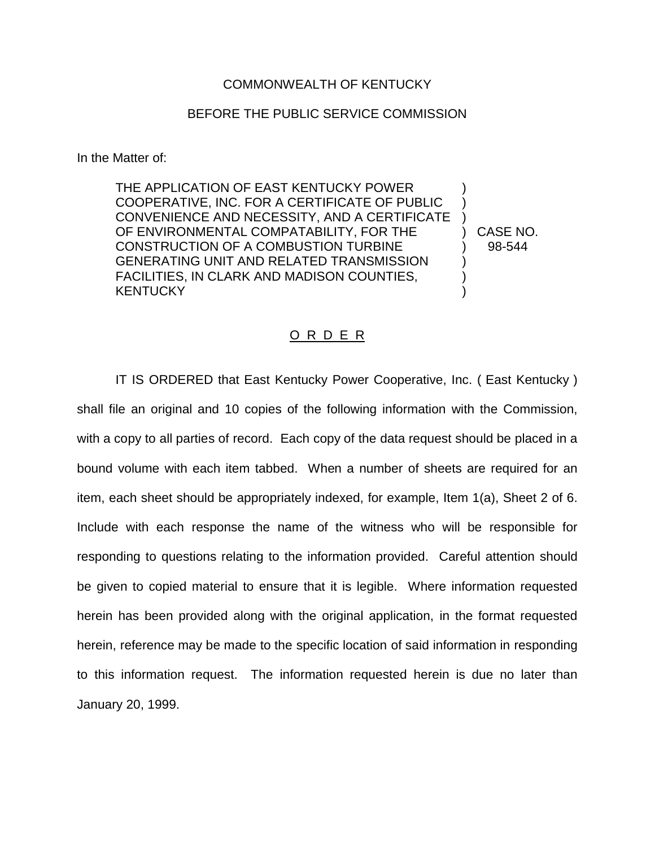## COMMONWEALTH OF KENTUCKY

## BEFORE THE PUBLIC SERVICE COMMISSION

In the Matter of:

THE APPLICATION OF EAST KENTUCKY POWER COOPERATIVE, INC. FOR A CERTIFICATE OF PUBLIC ) CONVENIENCE AND NECESSITY, AND A CERTIFICATE ) OF ENVIRONMENTAL COMPATABILITY, FOR THE ) CASE NO. CONSTRUCTION OF A COMBUSTION TURBINE ) 98-544 GENERATING UNIT AND RELATED TRANSMISSION ) FACILITIES, IN CLARK AND MADISON COUNTIES, KENTUCKY )

## O R D E R

IT IS ORDERED that East Kentucky Power Cooperative, Inc. ( East Kentucky ) shall file an original and 10 copies of the following information with the Commission, with a copy to all parties of record. Each copy of the data request should be placed in a bound volume with each item tabbed. When a number of sheets are required for an item, each sheet should be appropriately indexed, for example, Item 1(a), Sheet 2 of 6. Include with each response the name of the witness who will be responsible for responding to questions relating to the information provided. Careful attention should be given to copied material to ensure that it is legible. Where information requested herein has been provided along with the original application, in the format requested herein, reference may be made to the specific location of said information in responding to this information request. The information requested herein is due no later than January 20, 1999.